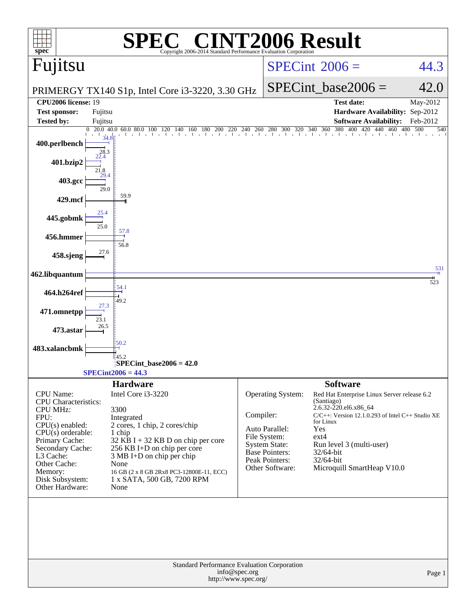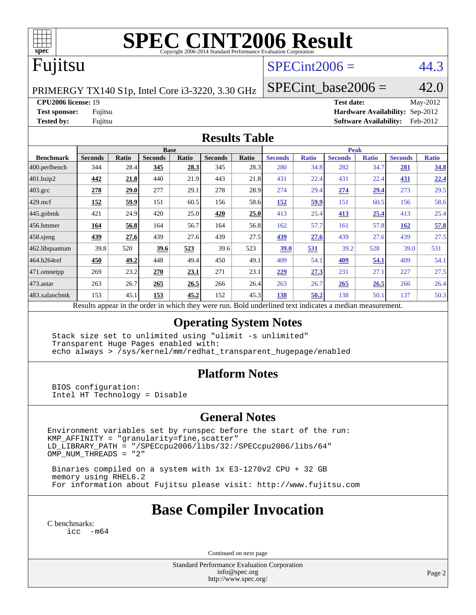

# **[SPEC CINT2006 Result](http://www.spec.org/auto/cpu2006/Docs/result-fields.html#SPECCINT2006Result)**

# Fujitsu

### $SPECint2006 = 44.3$  $SPECint2006 = 44.3$

PRIMERGY TX140 S1p, Intel Core i3-3220, 3.30 GHz

 $SPECint\_base2006 = 42.0$ 

**[CPU2006 license:](http://www.spec.org/auto/cpu2006/Docs/result-fields.html#CPU2006license)** 19 **[Test date:](http://www.spec.org/auto/cpu2006/Docs/result-fields.html#Testdate)** May-2012 **[Test sponsor:](http://www.spec.org/auto/cpu2006/Docs/result-fields.html#Testsponsor)** Fujitsu **[Hardware Availability:](http://www.spec.org/auto/cpu2006/Docs/result-fields.html#HardwareAvailability)** Sep-2012 **[Tested by:](http://www.spec.org/auto/cpu2006/Docs/result-fields.html#Testedby)** Fujitsu **[Software Availability:](http://www.spec.org/auto/cpu2006/Docs/result-fields.html#SoftwareAvailability)** Feb-2012

#### **[Results Table](http://www.spec.org/auto/cpu2006/Docs/result-fields.html#ResultsTable)**

|                    | <b>Base</b>                                                                                              |              |                |              |                |       | <b>Peak</b>    |              |                |              |                |              |
|--------------------|----------------------------------------------------------------------------------------------------------|--------------|----------------|--------------|----------------|-------|----------------|--------------|----------------|--------------|----------------|--------------|
| <b>Benchmark</b>   | <b>Seconds</b>                                                                                           | <b>Ratio</b> | <b>Seconds</b> | <b>Ratio</b> | <b>Seconds</b> | Ratio | <b>Seconds</b> | <b>Ratio</b> | <b>Seconds</b> | <b>Ratio</b> | <b>Seconds</b> | <b>Ratio</b> |
| 400.perlbench      | 344                                                                                                      | 28.4         | 345            | 28.3         | 345            | 28.3  | 280            | 34.8         | 282            | 34.7         | 281            | 34.8         |
| 401.bzip2          | 442                                                                                                      | 21.8         | 440            | 21.9         | 443            | 21.8  | 431            | 22.4         | 431            | 22.4         | 431            | 22.4         |
| $403.\mathrm{gcc}$ | 278                                                                                                      | 29.0         | 277            | 29.1         | 278            | 28.9  | 274            | 29.4         | 274            | <u>29.4</u>  | 273            | 29.5         |
| $429$ .mcf         | 152                                                                                                      | 59.9         | 151            | 60.5         | 156            | 58.6  | 152            | 59.9         | 151            | 60.5         | 156            | 58.6         |
| $445$ .gobmk       | 421                                                                                                      | 24.9         | 420            | 25.0         | 420            | 25.0  | 413            | 25.4         | 413            | 25.4         | 413            | 25.4         |
| 456.hmmer          | 164                                                                                                      | 56.8         | 164            | 56.7         | 164            | 56.8  | 162            | 57.7         | 161            | 57.8         | 162            | 57.8         |
| $458$ sjeng        | 439                                                                                                      | 27.6         | 439            | 27.6         | 439            | 27.5  | 439            | 27.6         | 439            | 27.6         | 439            | 27.5         |
| 462.libquantum     | 39.8                                                                                                     | 520          | 39.6           | 523          | 39.6           | 523   | 39.0           | 531          | 39.2           | 528          | 39.0           | 531          |
| 464.h264ref        | 450                                                                                                      | 49.2         | 448            | 49.4         | 450            | 49.1  | 409            | 54.1         | 409            | 54.1         | 409            | 54.1         |
| 471.omnetpp        | 269                                                                                                      | 23.2         | 270            | 23.1         | 271            | 23.1  | 229            | 27.3         | 231            | 27.1         | 227            | 27.5         |
| 473.astar          | 263                                                                                                      | 26.7         | 265            | 26.5         | 266            | 26.4  | 263            | 26.7         | 265            | 26.5         | 266            | 26.4         |
| 483.xalancbmk      | 153                                                                                                      | 45.1         | 153            | 45.2         | 152            | 45.3  | 138            | 50.2         | 138            | 50.1         | 137            | 50.3         |
|                    | Results appear in the order in which they were run. Bold underlined text indicates a median measurement. |              |                |              |                |       |                |              |                |              |                |              |

#### **[Operating System Notes](http://www.spec.org/auto/cpu2006/Docs/result-fields.html#OperatingSystemNotes)**

 Stack size set to unlimited using "ulimit -s unlimited" Transparent Huge Pages enabled with: echo always > /sys/kernel/mm/redhat\_transparent\_hugepage/enabled

#### **[Platform Notes](http://www.spec.org/auto/cpu2006/Docs/result-fields.html#PlatformNotes)**

 BIOS configuration: Intel HT Technology = Disable

#### **[General Notes](http://www.spec.org/auto/cpu2006/Docs/result-fields.html#GeneralNotes)**

Environment variables set by runspec before the start of the run: KMP\_AFFINITY = "granularity=fine,scatter" LD\_LIBRARY\_PATH = "/SPECcpu2006/libs/32:/SPECcpu2006/libs/64" OMP\_NUM\_THREADS = "2"

 Binaries compiled on a system with 1x E3-1270v2 CPU + 32 GB memory using RHEL6.2 For information about Fujitsu please visit: <http://www.fujitsu.com>

# **[Base Compiler Invocation](http://www.spec.org/auto/cpu2006/Docs/result-fields.html#BaseCompilerInvocation)**

[C benchmarks](http://www.spec.org/auto/cpu2006/Docs/result-fields.html#Cbenchmarks): [icc -m64](http://www.spec.org/cpu2006/results/res2012q3/cpu2006-20120822-24285.flags.html#user_CCbase_intel_icc_64bit_f346026e86af2a669e726fe758c88044)

Continued on next page

Standard Performance Evaluation Corporation [info@spec.org](mailto:info@spec.org) <http://www.spec.org/>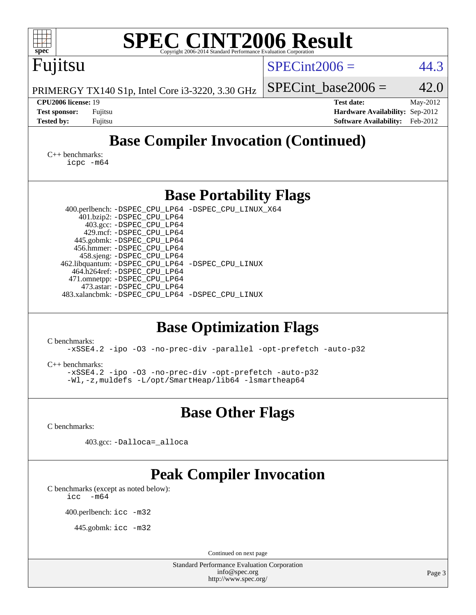| <b>SPEC CINT2006 Result</b><br>spec <sup>®</sup><br>Copyright 2006-2014 Standard Performance Evaluation Corporation                                                                                                                                                                                                                                                                                                                                                           |                                                                                                               |  |  |  |  |  |  |
|-------------------------------------------------------------------------------------------------------------------------------------------------------------------------------------------------------------------------------------------------------------------------------------------------------------------------------------------------------------------------------------------------------------------------------------------------------------------------------|---------------------------------------------------------------------------------------------------------------|--|--|--|--|--|--|
| Fujitsu                                                                                                                                                                                                                                                                                                                                                                                                                                                                       | $SPECint2006 =$<br>44.3                                                                                       |  |  |  |  |  |  |
| PRIMERGY TX140 S1p, Intel Core i3-3220, 3.30 GHz                                                                                                                                                                                                                                                                                                                                                                                                                              | 42.0<br>$SPECint base2006 =$                                                                                  |  |  |  |  |  |  |
| CPU2006 license: 19<br><b>Test sponsor:</b><br>Fujitsu<br><b>Tested by:</b><br>Fujitsu                                                                                                                                                                                                                                                                                                                                                                                        | <b>Test date:</b><br>May-2012<br>Hardware Availability: Sep-2012<br><b>Software Availability:</b><br>Feb-2012 |  |  |  |  |  |  |
| <b>Base Compiler Invocation (Continued)</b>                                                                                                                                                                                                                                                                                                                                                                                                                                   |                                                                                                               |  |  |  |  |  |  |
| $C_{++}$ benchmarks:<br>$icpc$ $-m64$                                                                                                                                                                                                                                                                                                                                                                                                                                         |                                                                                                               |  |  |  |  |  |  |
| <b>Base Portability Flags</b>                                                                                                                                                                                                                                                                                                                                                                                                                                                 |                                                                                                               |  |  |  |  |  |  |
| 400.perlbench: -DSPEC_CPU_LP64 -DSPEC_CPU_LINUX_X64<br>401.bzip2: -DSPEC_CPU_LP64<br>403.gcc: -DSPEC_CPU_LP64<br>429.mcf: -DSPEC_CPU_LP64<br>445.gobmk: -DSPEC_CPU_LP64<br>456.hmmer: -DSPEC_CPU_LP64<br>458.sjeng: -DSPEC_CPU_LP64<br>462.libquantum: - DSPEC_CPU_LP64 - DSPEC_CPU_LINUX<br>464.h264ref: -DSPEC_CPU_LP64<br>471.omnetpp: - DSPEC_CPU_LP64<br>473.astar: -DSPEC_CPU_LP64<br>483.xalancbmk: -DSPEC_CPU_LP64 -DSPEC_CPU_LINUX<br><b>Base Optimization Flags</b> |                                                                                                               |  |  |  |  |  |  |
| C benchmarks:<br>-xSSE4.2 -ipo -03 -no-prec-div -parallel -opt-prefetch -auto-p32                                                                                                                                                                                                                                                                                                                                                                                             |                                                                                                               |  |  |  |  |  |  |
| $C_{++}$ benchmarks:<br>-xSSE4.2 -ipo -03 -no-prec-div -opt-prefetch -auto-p32<br>-Wl,-z, muldefs -L/opt/SmartHeap/lib64 -lsmartheap64                                                                                                                                                                                                                                                                                                                                        |                                                                                                               |  |  |  |  |  |  |
| <b>Base Other Flags</b>                                                                                                                                                                                                                                                                                                                                                                                                                                                       |                                                                                                               |  |  |  |  |  |  |
| C benchmarks:                                                                                                                                                                                                                                                                                                                                                                                                                                                                 |                                                                                                               |  |  |  |  |  |  |
| 403.gcc: -Dalloca=_alloca                                                                                                                                                                                                                                                                                                                                                                                                                                                     |                                                                                                               |  |  |  |  |  |  |
| <b>Peak Compiler Invocation</b><br>C benchmarks (except as noted below):<br>$-m64$<br>icc<br>400.perlbench: icc -m32<br>445.gobmk: icc -m32                                                                                                                                                                                                                                                                                                                                   |                                                                                                               |  |  |  |  |  |  |
| Continued on next page<br><b>Standard Performance Evaluation Corporation</b>                                                                                                                                                                                                                                                                                                                                                                                                  |                                                                                                               |  |  |  |  |  |  |
| info@spec.org<br>http://www.spec.org/                                                                                                                                                                                                                                                                                                                                                                                                                                         | Page 3                                                                                                        |  |  |  |  |  |  |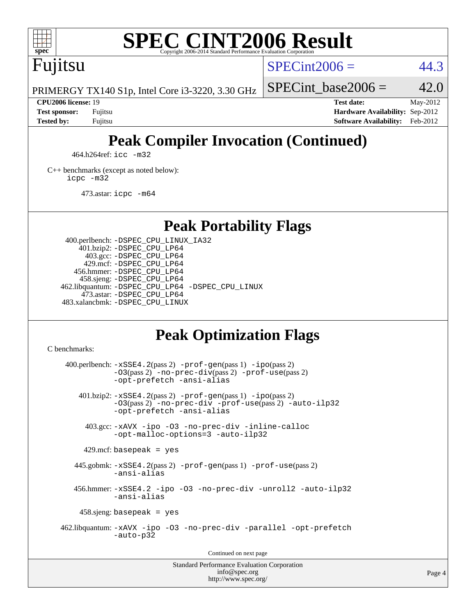

# **[SPEC CINT2006 Result](http://www.spec.org/auto/cpu2006/Docs/result-fields.html#SPECCINT2006Result)**

Fujitsu

 $SPECint2006 = 44.3$  $SPECint2006 = 44.3$ 

PRIMERGY TX140 S1p, Intel Core i3-3220, 3.30 GHz

SPECint base2006 =  $42.0$ 

**[CPU2006 license:](http://www.spec.org/auto/cpu2006/Docs/result-fields.html#CPU2006license)** 19 **[Test date:](http://www.spec.org/auto/cpu2006/Docs/result-fields.html#Testdate)** May-2012 **[Test sponsor:](http://www.spec.org/auto/cpu2006/Docs/result-fields.html#Testsponsor)** Fujitsu **[Hardware Availability:](http://www.spec.org/auto/cpu2006/Docs/result-fields.html#HardwareAvailability)** Sep-2012 **[Tested by:](http://www.spec.org/auto/cpu2006/Docs/result-fields.html#Testedby)** Fujitsu **[Software Availability:](http://www.spec.org/auto/cpu2006/Docs/result-fields.html#SoftwareAvailability)** Feb-2012

# **[Peak Compiler Invocation \(Continued\)](http://www.spec.org/auto/cpu2006/Docs/result-fields.html#PeakCompilerInvocation)**

464.h264ref: [icc -m32](http://www.spec.org/cpu2006/results/res2012q3/cpu2006-20120822-24285.flags.html#user_peakCCLD464_h264ref_intel_icc_a6a621f8d50482236b970c6ac5f55f93)

[C++ benchmarks \(except as noted below\):](http://www.spec.org/auto/cpu2006/Docs/result-fields.html#CXXbenchmarksexceptasnotedbelow) [icpc -m32](http://www.spec.org/cpu2006/results/res2012q3/cpu2006-20120822-24285.flags.html#user_CXXpeak_intel_icpc_4e5a5ef1a53fd332b3c49e69c3330699)

473.astar: [icpc -m64](http://www.spec.org/cpu2006/results/res2012q3/cpu2006-20120822-24285.flags.html#user_peakCXXLD473_astar_intel_icpc_64bit_fc66a5337ce925472a5c54ad6a0de310)

**[Peak Portability Flags](http://www.spec.org/auto/cpu2006/Docs/result-fields.html#PeakPortabilityFlags)**

 400.perlbench: [-DSPEC\\_CPU\\_LINUX\\_IA32](http://www.spec.org/cpu2006/results/res2012q3/cpu2006-20120822-24285.flags.html#b400.perlbench_peakCPORTABILITY_DSPEC_CPU_LINUX_IA32) 401.bzip2: [-DSPEC\\_CPU\\_LP64](http://www.spec.org/cpu2006/results/res2012q3/cpu2006-20120822-24285.flags.html#suite_peakPORTABILITY401_bzip2_DSPEC_CPU_LP64) 403.gcc: [-DSPEC\\_CPU\\_LP64](http://www.spec.org/cpu2006/results/res2012q3/cpu2006-20120822-24285.flags.html#suite_peakPORTABILITY403_gcc_DSPEC_CPU_LP64) 429.mcf: [-DSPEC\\_CPU\\_LP64](http://www.spec.org/cpu2006/results/res2012q3/cpu2006-20120822-24285.flags.html#suite_peakPORTABILITY429_mcf_DSPEC_CPU_LP64) 456.hmmer: [-DSPEC\\_CPU\\_LP64](http://www.spec.org/cpu2006/results/res2012q3/cpu2006-20120822-24285.flags.html#suite_peakPORTABILITY456_hmmer_DSPEC_CPU_LP64) 458.sjeng: [-DSPEC\\_CPU\\_LP64](http://www.spec.org/cpu2006/results/res2012q3/cpu2006-20120822-24285.flags.html#suite_peakPORTABILITY458_sjeng_DSPEC_CPU_LP64) 462.libquantum: [-DSPEC\\_CPU\\_LP64](http://www.spec.org/cpu2006/results/res2012q3/cpu2006-20120822-24285.flags.html#suite_peakPORTABILITY462_libquantum_DSPEC_CPU_LP64) [-DSPEC\\_CPU\\_LINUX](http://www.spec.org/cpu2006/results/res2012q3/cpu2006-20120822-24285.flags.html#b462.libquantum_peakCPORTABILITY_DSPEC_CPU_LINUX) 473.astar: [-DSPEC\\_CPU\\_LP64](http://www.spec.org/cpu2006/results/res2012q3/cpu2006-20120822-24285.flags.html#suite_peakPORTABILITY473_astar_DSPEC_CPU_LP64) 483.xalancbmk: [-DSPEC\\_CPU\\_LINUX](http://www.spec.org/cpu2006/results/res2012q3/cpu2006-20120822-24285.flags.html#b483.xalancbmk_peakCXXPORTABILITY_DSPEC_CPU_LINUX)

# **[Peak Optimization Flags](http://www.spec.org/auto/cpu2006/Docs/result-fields.html#PeakOptimizationFlags)**

[C benchmarks](http://www.spec.org/auto/cpu2006/Docs/result-fields.html#Cbenchmarks):

 $400.$ perlbench:  $-xSSE4$ .  $2(pass 2)$  -prof-qen(pass 1) [-ipo](http://www.spec.org/cpu2006/results/res2012q3/cpu2006-20120822-24285.flags.html#user_peakPASS2_CFLAGSPASS2_LDCFLAGS400_perlbench_f-ipo)(pass 2) [-O3](http://www.spec.org/cpu2006/results/res2012q3/cpu2006-20120822-24285.flags.html#user_peakPASS2_CFLAGSPASS2_LDCFLAGS400_perlbench_f-O3)(pass 2) [-no-prec-div](http://www.spec.org/cpu2006/results/res2012q3/cpu2006-20120822-24285.flags.html#user_peakPASS2_CFLAGSPASS2_LDCFLAGS400_perlbench_f-no-prec-div)(pass 2) [-prof-use](http://www.spec.org/cpu2006/results/res2012q3/cpu2006-20120822-24285.flags.html#user_peakPASS2_CFLAGSPASS2_LDCFLAGS400_perlbench_prof_use_bccf7792157ff70d64e32fe3e1250b55)(pass 2) [-opt-prefetch](http://www.spec.org/cpu2006/results/res2012q3/cpu2006-20120822-24285.flags.html#user_peakCOPTIMIZE400_perlbench_f-opt-prefetch) [-ansi-alias](http://www.spec.org/cpu2006/results/res2012q3/cpu2006-20120822-24285.flags.html#user_peakCOPTIMIZE400_perlbench_f-ansi-alias) 401.bzip2: [-xSSE4.2](http://www.spec.org/cpu2006/results/res2012q3/cpu2006-20120822-24285.flags.html#user_peakPASS2_CFLAGSPASS2_LDCFLAGS401_bzip2_f-xSSE42_f91528193cf0b216347adb8b939d4107)(pass 2) [-prof-gen](http://www.spec.org/cpu2006/results/res2012q3/cpu2006-20120822-24285.flags.html#user_peakPASS1_CFLAGSPASS1_LDCFLAGS401_bzip2_prof_gen_e43856698f6ca7b7e442dfd80e94a8fc)(pass 1) [-ipo](http://www.spec.org/cpu2006/results/res2012q3/cpu2006-20120822-24285.flags.html#user_peakPASS2_CFLAGSPASS2_LDCFLAGS401_bzip2_f-ipo)(pass 2) [-O3](http://www.spec.org/cpu2006/results/res2012q3/cpu2006-20120822-24285.flags.html#user_peakPASS2_CFLAGSPASS2_LDCFLAGS401_bzip2_f-O3)(pass 2) [-no-prec-div](http://www.spec.org/cpu2006/results/res2012q3/cpu2006-20120822-24285.flags.html#user_peakCOPTIMIZEPASS2_CFLAGSPASS2_LDCFLAGS401_bzip2_f-no-prec-div) [-prof-use](http://www.spec.org/cpu2006/results/res2012q3/cpu2006-20120822-24285.flags.html#user_peakPASS2_CFLAGSPASS2_LDCFLAGS401_bzip2_prof_use_bccf7792157ff70d64e32fe3e1250b55)(pass 2) [-auto-ilp32](http://www.spec.org/cpu2006/results/res2012q3/cpu2006-20120822-24285.flags.html#user_peakCOPTIMIZE401_bzip2_f-auto-ilp32) [-opt-prefetch](http://www.spec.org/cpu2006/results/res2012q3/cpu2006-20120822-24285.flags.html#user_peakCOPTIMIZE401_bzip2_f-opt-prefetch) [-ansi-alias](http://www.spec.org/cpu2006/results/res2012q3/cpu2006-20120822-24285.flags.html#user_peakCOPTIMIZE401_bzip2_f-ansi-alias) 403.gcc: [-xAVX](http://www.spec.org/cpu2006/results/res2012q3/cpu2006-20120822-24285.flags.html#user_peakCOPTIMIZE403_gcc_f-xAVX) [-ipo](http://www.spec.org/cpu2006/results/res2012q3/cpu2006-20120822-24285.flags.html#user_peakCOPTIMIZE403_gcc_f-ipo) [-O3](http://www.spec.org/cpu2006/results/res2012q3/cpu2006-20120822-24285.flags.html#user_peakCOPTIMIZE403_gcc_f-O3) [-no-prec-div](http://www.spec.org/cpu2006/results/res2012q3/cpu2006-20120822-24285.flags.html#user_peakCOPTIMIZE403_gcc_f-no-prec-div) [-inline-calloc](http://www.spec.org/cpu2006/results/res2012q3/cpu2006-20120822-24285.flags.html#user_peakCOPTIMIZE403_gcc_f-inline-calloc) [-opt-malloc-options=3](http://www.spec.org/cpu2006/results/res2012q3/cpu2006-20120822-24285.flags.html#user_peakCOPTIMIZE403_gcc_f-opt-malloc-options_13ab9b803cf986b4ee62f0a5998c2238) [-auto-ilp32](http://www.spec.org/cpu2006/results/res2012q3/cpu2006-20120822-24285.flags.html#user_peakCOPTIMIZE403_gcc_f-auto-ilp32)  $429$ .mcf: basepeak = yes 445.gobmk: [-xSSE4.2](http://www.spec.org/cpu2006/results/res2012q3/cpu2006-20120822-24285.flags.html#user_peakPASS2_CFLAGSPASS2_LDCFLAGS445_gobmk_f-xSSE42_f91528193cf0b216347adb8b939d4107)(pass 2) [-prof-gen](http://www.spec.org/cpu2006/results/res2012q3/cpu2006-20120822-24285.flags.html#user_peakPASS1_CFLAGSPASS1_LDCFLAGS445_gobmk_prof_gen_e43856698f6ca7b7e442dfd80e94a8fc)(pass 1) [-prof-use](http://www.spec.org/cpu2006/results/res2012q3/cpu2006-20120822-24285.flags.html#user_peakPASS2_CFLAGSPASS2_LDCFLAGS445_gobmk_prof_use_bccf7792157ff70d64e32fe3e1250b55)(pass 2) [-ansi-alias](http://www.spec.org/cpu2006/results/res2012q3/cpu2006-20120822-24285.flags.html#user_peakCOPTIMIZE445_gobmk_f-ansi-alias) 456.hmmer: [-xSSE4.2](http://www.spec.org/cpu2006/results/res2012q3/cpu2006-20120822-24285.flags.html#user_peakCOPTIMIZE456_hmmer_f-xSSE42_f91528193cf0b216347adb8b939d4107) [-ipo](http://www.spec.org/cpu2006/results/res2012q3/cpu2006-20120822-24285.flags.html#user_peakCOPTIMIZE456_hmmer_f-ipo) [-O3](http://www.spec.org/cpu2006/results/res2012q3/cpu2006-20120822-24285.flags.html#user_peakCOPTIMIZE456_hmmer_f-O3) [-no-prec-div](http://www.spec.org/cpu2006/results/res2012q3/cpu2006-20120822-24285.flags.html#user_peakCOPTIMIZE456_hmmer_f-no-prec-div) [-unroll2](http://www.spec.org/cpu2006/results/res2012q3/cpu2006-20120822-24285.flags.html#user_peakCOPTIMIZE456_hmmer_f-unroll_784dae83bebfb236979b41d2422d7ec2) [-auto-ilp32](http://www.spec.org/cpu2006/results/res2012q3/cpu2006-20120822-24285.flags.html#user_peakCOPTIMIZE456_hmmer_f-auto-ilp32) [-ansi-alias](http://www.spec.org/cpu2006/results/res2012q3/cpu2006-20120822-24285.flags.html#user_peakCOPTIMIZE456_hmmer_f-ansi-alias) 458.sjeng: basepeak = yes 462.libquantum: [-xAVX](http://www.spec.org/cpu2006/results/res2012q3/cpu2006-20120822-24285.flags.html#user_peakCOPTIMIZE462_libquantum_f-xAVX) [-ipo](http://www.spec.org/cpu2006/results/res2012q3/cpu2006-20120822-24285.flags.html#user_peakCOPTIMIZE462_libquantum_f-ipo) [-O3](http://www.spec.org/cpu2006/results/res2012q3/cpu2006-20120822-24285.flags.html#user_peakCOPTIMIZE462_libquantum_f-O3) [-no-prec-div](http://www.spec.org/cpu2006/results/res2012q3/cpu2006-20120822-24285.flags.html#user_peakCOPTIMIZE462_libquantum_f-no-prec-div) [-parallel](http://www.spec.org/cpu2006/results/res2012q3/cpu2006-20120822-24285.flags.html#user_peakCOPTIMIZE462_libquantum_f-parallel) [-opt-prefetch](http://www.spec.org/cpu2006/results/res2012q3/cpu2006-20120822-24285.flags.html#user_peakCOPTIMIZE462_libquantum_f-opt-prefetch) [-auto-p32](http://www.spec.org/cpu2006/results/res2012q3/cpu2006-20120822-24285.flags.html#user_peakCOPTIMIZE462_libquantum_f-auto-p32) Continued on next page

Standard Performance Evaluation Corporation [info@spec.org](mailto:info@spec.org) <http://www.spec.org/>

Page 4